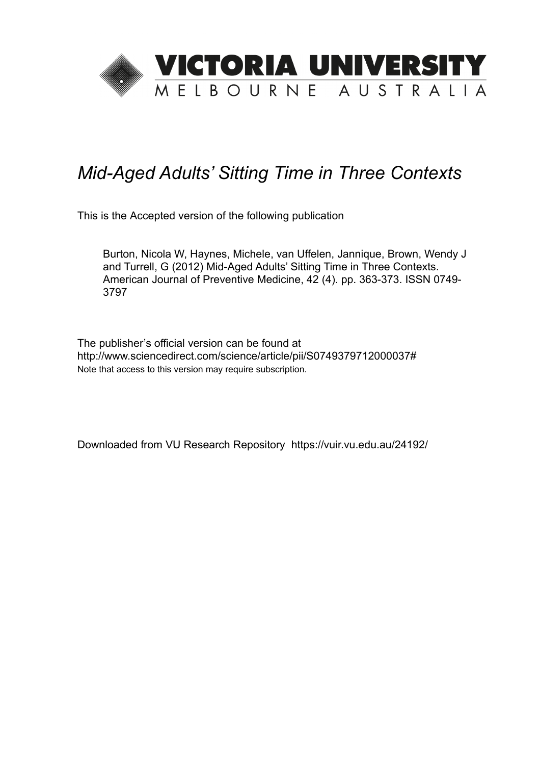

# *Mid-Aged Adults' Sitting Time in Three Contexts*

This is the Accepted version of the following publication

Burton, Nicola W, Haynes, Michele, van Uffelen, Jannique, Brown, Wendy J and Turrell, G (2012) Mid-Aged Adults' Sitting Time in Three Contexts. American Journal of Preventive Medicine, 42 (4). pp. 363-373. ISSN 0749- 3797

The publisher's official version can be found at http://www.sciencedirect.com/science/article/pii/S0749379712000037# Note that access to this version may require subscription.

Downloaded from VU Research Repository https://vuir.vu.edu.au/24192/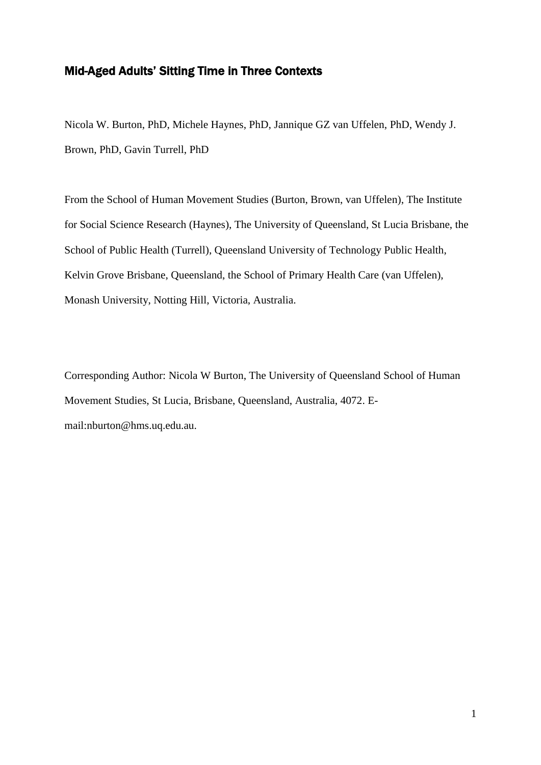# Mid-Aged Adults' Sitting Time in Three Contexts

Nicola W. Burton, PhD, Michele Haynes, PhD, Jannique GZ van Uffelen, PhD, Wendy J. Brown, PhD, Gavin Turrell, PhD

From the School of Human Movement Studies (Burton, Brown, van Uffelen), The Institute for Social Science Research (Haynes), The University of Queensland, St Lucia Brisbane, the School of Public Health (Turrell), Queensland University of Technology Public Health, Kelvin Grove Brisbane, Queensland, the School of Primary Health Care (van Uffelen), Monash University, Notting Hill, Victoria, Australia.

Corresponding Author: Nicola W Burton, The University of Queensland School of Human Movement Studies, St Lucia, Brisbane, Queensland, Australia, 4072. Email:nburton@hms.uq.edu.au.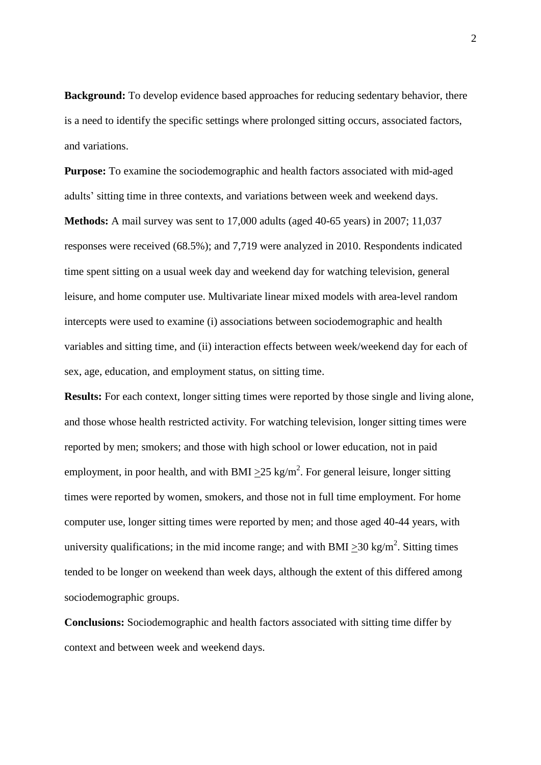**Background:** To develop evidence based approaches for reducing sedentary behavior, there is a need to identify the specific settings where prolonged sitting occurs, associated factors, and variations.

**Purpose:** To examine the sociodemographic and health factors associated with mid-aged adults' sitting time in three contexts, and variations between week and weekend days.

**Methods:** A mail survey was sent to 17,000 adults (aged 40-65 years) in 2007; 11,037 responses were received (68.5%); and 7,719 were analyzed in 2010. Respondents indicated time spent sitting on a usual week day and weekend day for watching television, general leisure, and home computer use. Multivariate linear mixed models with area-level random intercepts were used to examine (i) associations between sociodemographic and health variables and sitting time, and (ii) interaction effects between week/weekend day for each of sex, age, education, and employment status, on sitting time.

**Results:** For each context, longer sitting times were reported by those single and living alone, and those whose health restricted activity. For watching television, longer sitting times were reported by men; smokers; and those with high school or lower education, not in paid employment, in poor health, and with BMI  $\geq$ 25 kg/m<sup>2</sup>. For general leisure, longer sitting times were reported by women, smokers, and those not in full time employment. For home computer use, longer sitting times were reported by men; and those aged 40-44 years, with university qualifications; in the mid income range; and with BMI  $\geq$ 30 kg/m<sup>2</sup>. Sitting times tended to be longer on weekend than week days, although the extent of this differed among sociodemographic groups.

**Conclusions:** Sociodemographic and health factors associated with sitting time differ by context and between week and weekend days.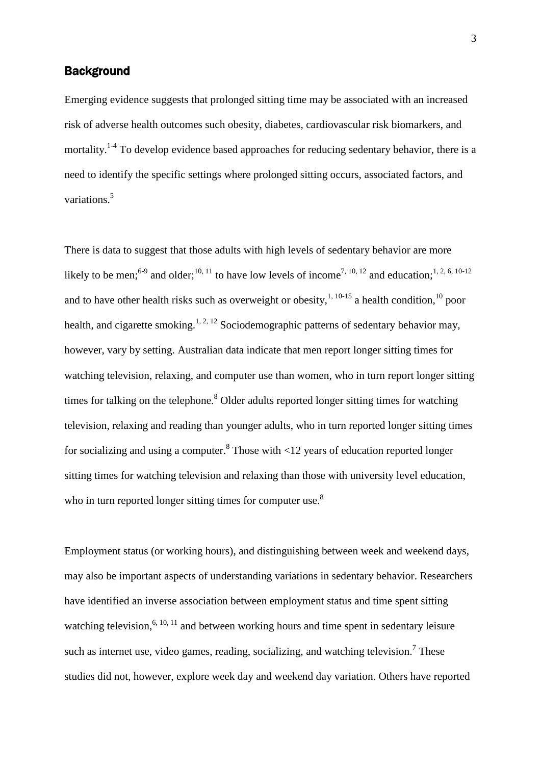## **Background**

Emerging evidence suggests that prolonged sitting time may be associated with an increased risk of adverse health outcomes such obesity, diabetes, cardiovascular risk biomarkers, and mortality.<sup>1-4</sup> To develop evidence based approaches for reducing sedentary behavior, there is a need to identify the specific settings where prolonged sitting occurs, associated factors, and variations. 5

There is data to suggest that those adults with high levels of sedentary behavior are more likely to be men;<sup>6-9</sup> and older;<sup>10, 11</sup> to have low levels of income<sup>7, 10, 12</sup> and education;<sup>1, 2, 6, 10-12</sup> and to have other health risks such as overweight or obesity,  $1, 10$ -15 a health condition,  $10$  poor health, and cigarette smoking.<sup>1, 2, 12</sup> Sociodemographic patterns of sedentary behavior may, however, vary by setting. Australian data indicate that men report longer sitting times for watching television, relaxing, and computer use than women, who in turn report longer sitting times for talking on the telephone.<sup>8</sup> Older adults reported longer sitting times for watching television, relaxing and reading than younger adults, who in turn reported longer sitting times for socializing and using a computer.<sup>8</sup> Those with <12 years of education reported longer sitting times for watching television and relaxing than those with university level education, who in turn reported longer sitting times for computer use.<sup>8</sup>

Employment status (or working hours), and distinguishing between week and weekend days, may also be important aspects of understanding variations in sedentary behavior. Researchers have identified an inverse association between employment status and time spent sitting watching television,  $6, 10, 11$  and between working hours and time spent in sedentary leisure such as internet use, video games, reading, socializing, and watching television.<sup>7</sup> These studies did not, however, explore week day and weekend day variation. Others have reported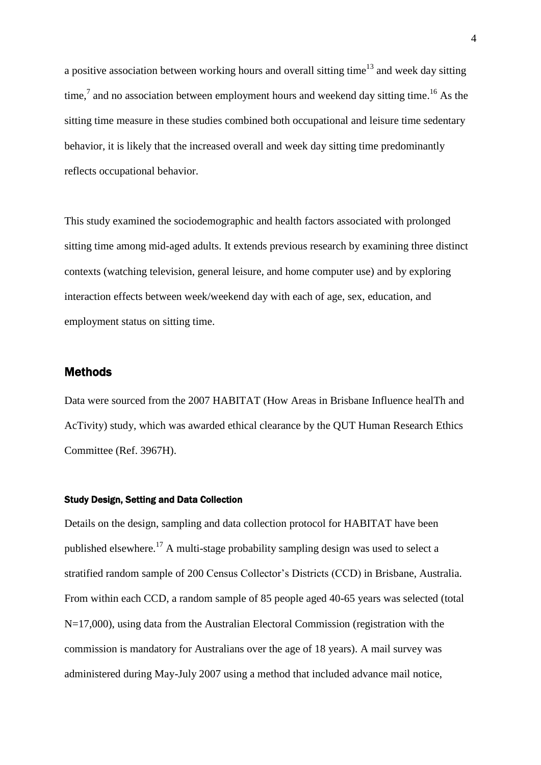a positive association between working hours and overall sitting time<sup>13</sup> and week day sitting time,<sup>7</sup> and no association between employment hours and weekend day sitting time.<sup>16</sup> As the sitting time measure in these studies combined both occupational and leisure time sedentary behavior, it is likely that the increased overall and week day sitting time predominantly reflects occupational behavior.

This study examined the sociodemographic and health factors associated with prolonged sitting time among mid-aged adults. It extends previous research by examining three distinct contexts (watching television, general leisure, and home computer use) and by exploring interaction effects between week/weekend day with each of age, sex, education, and employment status on sitting time.

## **Methods**

Data were sourced from the 2007 HABITAT (How Areas in Brisbane Influence healTh and AcTivity) study, which was awarded ethical clearance by the QUT Human Research Ethics Committee (Ref. 3967H).

#### Study Design, Setting and Data Collection

Details on the design, sampling and data collection protocol for HABITAT have been published elsewhere.<sup>17</sup> A multi-stage probability sampling design was used to select a stratified random sample of 200 Census Collector's Districts (CCD) in Brisbane, Australia. From within each CCD, a random sample of 85 people aged 40-65 years was selected (total N=17,000), using data from the Australian Electoral Commission (registration with the commission is mandatory for Australians over the age of 18 years). A mail survey was administered during May-July 2007 using a method that included advance mail notice,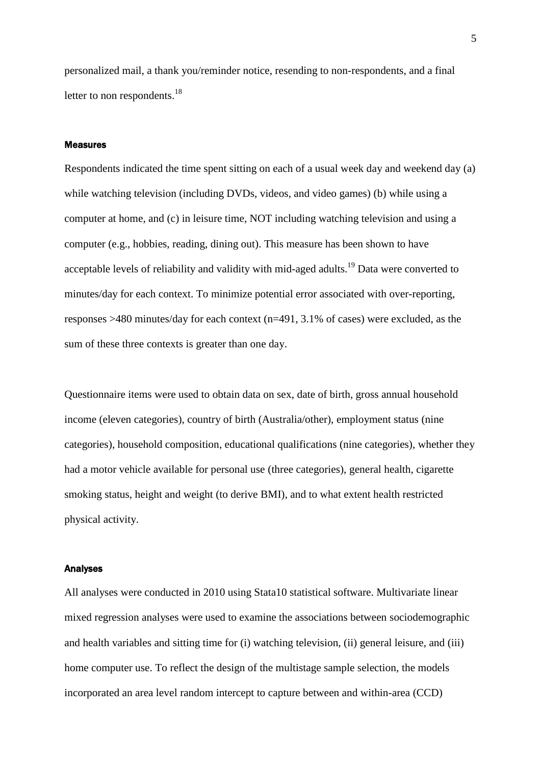personalized mail, a thank you/reminder notice, resending to non-respondents, and a final letter to non respondents. $^{18}$ 

#### Measures

Respondents indicated the time spent sitting on each of a usual week day and weekend day (a) while watching television (including DVDs, videos, and video games) (b) while using a computer at home, and (c) in leisure time, NOT including watching television and using a computer (e.g., hobbies, reading, dining out). This measure has been shown to have acceptable levels of reliability and validity with mid-aged adults.<sup>19</sup> Data were converted to minutes/day for each context. To minimize potential error associated with over-reporting, responses >480 minutes/day for each context (n=491, 3.1% of cases) were excluded, as the sum of these three contexts is greater than one day.

Questionnaire items were used to obtain data on sex, date of birth, gross annual household income (eleven categories), country of birth (Australia/other), employment status (nine categories), household composition, educational qualifications (nine categories), whether they had a motor vehicle available for personal use (three categories), general health, cigarette smoking status, height and weight (to derive BMI), and to what extent health restricted physical activity.

#### Analyses

All analyses were conducted in 2010 using Stata10 statistical software. Multivariate linear mixed regression analyses were used to examine the associations between sociodemographic and health variables and sitting time for (i) watching television, (ii) general leisure, and (iii) home computer use. To reflect the design of the multistage sample selection, the models incorporated an area level random intercept to capture between and within-area (CCD)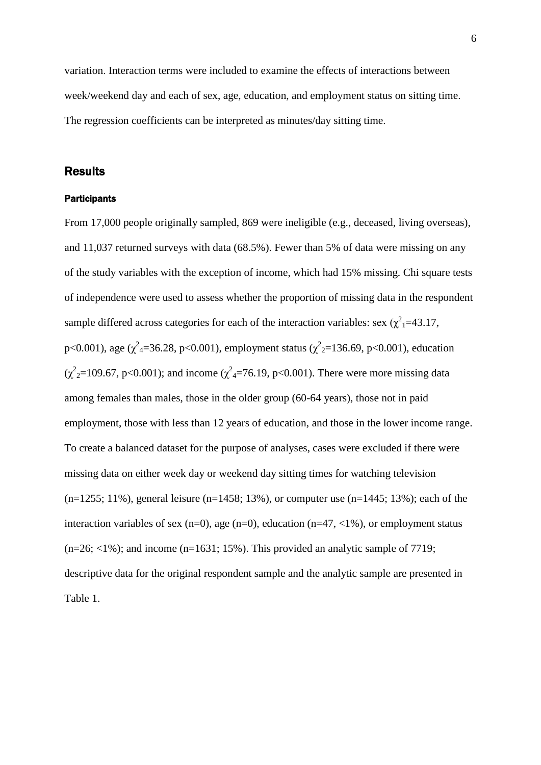variation. Interaction terms were included to examine the effects of interactions between week/weekend day and each of sex, age, education, and employment status on sitting time. The regression coefficients can be interpreted as minutes/day sitting time.

### Results

#### **Participants**

From 17,000 people originally sampled, 869 were ineligible (e.g., deceased, living overseas), and 11,037 returned surveys with data (68.5%). Fewer than 5% of data were missing on any of the study variables with the exception of income, which had 15% missing. Chi square tests of independence were used to assess whether the proportion of missing data in the respondent sample differed across categories for each of the interaction variables: sex  $(\chi^2)$  = 43.17, p<0.001), age ( $\chi^2$ <sub>4</sub>=36.28, p<0.001), employment status ( $\chi^2$ <sub>2</sub>=136.69, p<0.001), education  $(\chi^2_{2} = 109.67, \text{ p} < 0.001)$ ; and income  $(\chi^2_{4} = 76.19, \text{ p} < 0.001)$ . There were more missing data among females than males, those in the older group (60-64 years), those not in paid employment, those with less than 12 years of education, and those in the lower income range. To create a balanced dataset for the purpose of analyses, cases were excluded if there were missing data on either week day or weekend day sitting times for watching television  $(n=1255; 11\%)$ , general leisure  $(n=1458; 13\%)$ , or computer use  $(n=1445; 13\%)$ ; each of the interaction variables of sex (n=0), age (n=0), education (n=47,  $\langle 1\%$ ), or employment status  $(n=26; <1\%)$ ; and income  $(n=1631; 15\%)$ . This provided an analytic sample of 7719; descriptive data for the original respondent sample and the analytic sample are presented in Table 1.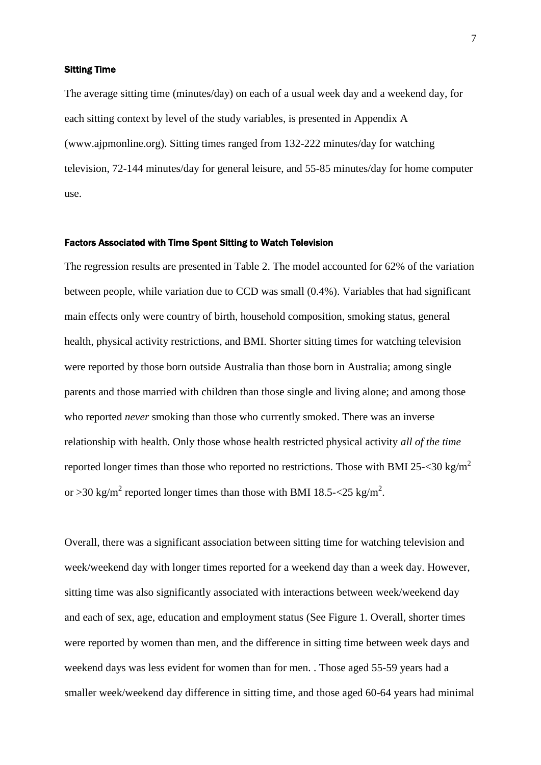#### Sitting Time

The average sitting time (minutes/day) on each of a usual week day and a weekend day, for each sitting context by level of the study variables, is presented in Appendix A (www.ajpmonline.org). Sitting times ranged from 132-222 minutes/day for watching television, 72-144 minutes/day for general leisure, and 55-85 minutes/day for home computer use.

#### Factors Associated with Time Spent Sitting to Watch Television

The regression results are presented in Table 2. The model accounted for 62% of the variation between people, while variation due to CCD was small (0.4%). Variables that had significant main effects only were country of birth, household composition, smoking status, general health, physical activity restrictions, and BMI. Shorter sitting times for watching television were reported by those born outside Australia than those born in Australia; among single parents and those married with children than those single and living alone; and among those who reported *never* smoking than those who currently smoked. There was an inverse relationship with health. Only those whose health restricted physical activity *all of the time* reported longer times than those who reported no restrictions. Those with BMI 25- $\langle 30 \text{ kg/m}^2 \rangle$ or  $\geq$ 30 kg/m<sup>2</sup> reported longer times than those with BMI 18.5-<25 kg/m<sup>2</sup>.

Overall, there was a significant association between sitting time for watching television and week/weekend day with longer times reported for a weekend day than a week day. However, sitting time was also significantly associated with interactions between week/weekend day and each of sex, age, education and employment status (See Figure 1. Overall, shorter times were reported by women than men, and the difference in sitting time between week days and weekend days was less evident for women than for men. . Those aged 55-59 years had a smaller week/weekend day difference in sitting time, and those aged 60-64 years had minimal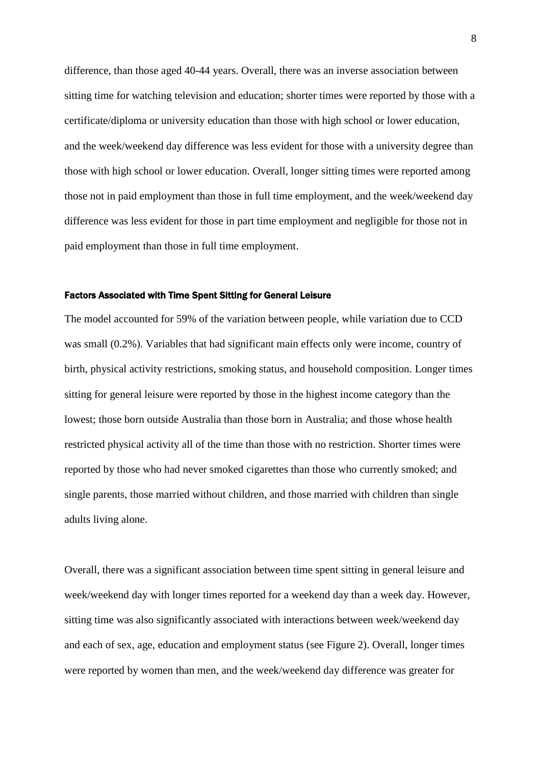difference, than those aged 40-44 years. Overall, there was an inverse association between sitting time for watching television and education; shorter times were reported by those with a certificate/diploma or university education than those with high school or lower education, and the week/weekend day difference was less evident for those with a university degree than those with high school or lower education. Overall, longer sitting times were reported among those not in paid employment than those in full time employment, and the week/weekend day difference was less evident for those in part time employment and negligible for those not in paid employment than those in full time employment.

#### Factors Associated with Time Spent Sitting for General Leisure

The model accounted for 59% of the variation between people, while variation due to CCD was small (0.2%). Variables that had significant main effects only were income, country of birth, physical activity restrictions, smoking status, and household composition. Longer times sitting for general leisure were reported by those in the highest income category than the lowest; those born outside Australia than those born in Australia; and those whose health restricted physical activity all of the time than those with no restriction. Shorter times were reported by those who had never smoked cigarettes than those who currently smoked; and single parents, those married without children, and those married with children than single adults living alone.

Overall, there was a significant association between time spent sitting in general leisure and week/weekend day with longer times reported for a weekend day than a week day. However, sitting time was also significantly associated with interactions between week/weekend day and each of sex, age, education and employment status (see Figure 2). Overall, longer times were reported by women than men, and the week/weekend day difference was greater for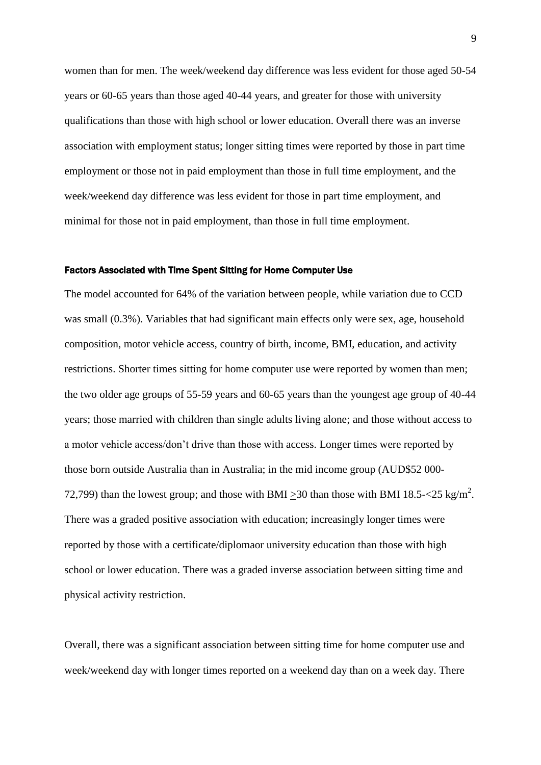women than for men. The week/weekend day difference was less evident for those aged 50-54 years or 60-65 years than those aged 40-44 years, and greater for those with university qualifications than those with high school or lower education. Overall there was an inverse association with employment status; longer sitting times were reported by those in part time employment or those not in paid employment than those in full time employment, and the week/weekend day difference was less evident for those in part time employment, and minimal for those not in paid employment, than those in full time employment.

#### Factors Associated with Time Spent Sitting for Home Computer Use

The model accounted for 64% of the variation between people, while variation due to CCD was small (0.3%). Variables that had significant main effects only were sex, age, household composition, motor vehicle access, country of birth, income, BMI, education, and activity restrictions. Shorter times sitting for home computer use were reported by women than men; the two older age groups of 55-59 years and 60-65 years than the youngest age group of 40-44 years; those married with children than single adults living alone; and those without access to a motor vehicle access/don't drive than those with access. Longer times were reported by those born outside Australia than in Australia; in the mid income group (AUD\$52 000- 72,799) than the lowest group; and those with BMI  $\geq$ 30 than those with BMI 18.5 $\lt$ 25 kg/m<sup>2</sup>. There was a graded positive association with education; increasingly longer times were reported by those with a certificate/diplomaor university education than those with high school or lower education. There was a graded inverse association between sitting time and physical activity restriction.

Overall, there was a significant association between sitting time for home computer use and week/weekend day with longer times reported on a weekend day than on a week day. There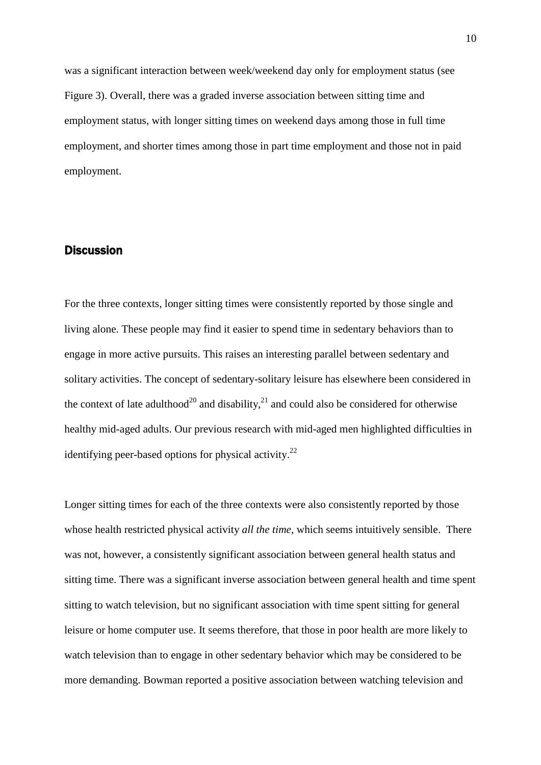was a significant interaction between week/weekend day only for employment status (see Figure 3). Overall, there was a graded inverse association between sitting time and employment status, with longer sitting times on weekend days among those in full time employment, and shorter times among those in part time employment and those not in paid employment.

# **Discussion**

For the three contexts, longer sitting times were consistently reported by those single and living alone. These people may find it easier to spend time in sedentary behaviors than to engage in more active pursuits. This raises an interesting parallel between sedentary and solitary activities. The concept of sedentary-solitary leisure has elsewhere been considered in the context of late adulthood<sup>20</sup> and disability,<sup>21</sup> and could also be considered for otherwise healthy mid-aged adults. Our previous research with mid-aged men highlighted difficulties in identifying peer-based options for physical activity.<sup>22</sup>

Longer sitting times for each of the three contexts were also consistently reported by those whose health restricted physical activity *all the time,* which seems intuitively sensible. There was not, however, a consistently significant association between general health status and sitting time. There was a significant inverse association between general health and time spent sitting to watch television, but no significant association with time spent sitting for general leisure or home computer use. It seems therefore, that those in poor health are more likely to watch television than to engage in other sedentary behavior which may be considered to be more demanding. Bowman reported a positive association between watching television and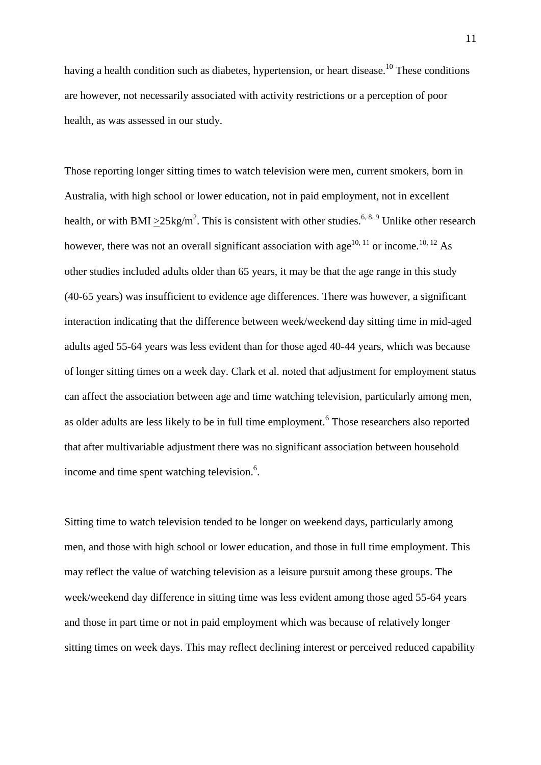having a health condition such as diabetes, hypertension, or heart disease.<sup>10</sup> These conditions are however, not necessarily associated with activity restrictions or a perception of poor health, as was assessed in our study.

Those reporting longer sitting times to watch television were men, current smokers, born in Australia, with high school or lower education, not in paid employment, not in excellent health, or with BMI  $\geq$ 25kg/m<sup>2</sup>. This is consistent with other studies.<sup>6, 8, 9</sup> Unlike other research however, there was not an overall significant association with age<sup>10, 11</sup> or income.<sup>10, 12</sup> As other studies included adults older than 65 years, it may be that the age range in this study (40-65 years) was insufficient to evidence age differences. There was however, a significant interaction indicating that the difference between week/weekend day sitting time in mid-aged adults aged 55-64 years was less evident than for those aged 40-44 years, which was because of longer sitting times on a week day. Clark et al. noted that adjustment for employment status can affect the association between age and time watching television, particularly among men, as older adults are less likely to be in full time employment.<sup>6</sup> Those researchers also reported that after multivariable adjustment there was no significant association between household income and time spent watching television.<sup>6</sup>.

Sitting time to watch television tended to be longer on weekend days, particularly among men, and those with high school or lower education, and those in full time employment. This may reflect the value of watching television as a leisure pursuit among these groups. The week/weekend day difference in sitting time was less evident among those aged 55-64 years and those in part time or not in paid employment which was because of relatively longer sitting times on week days. This may reflect declining interest or perceived reduced capability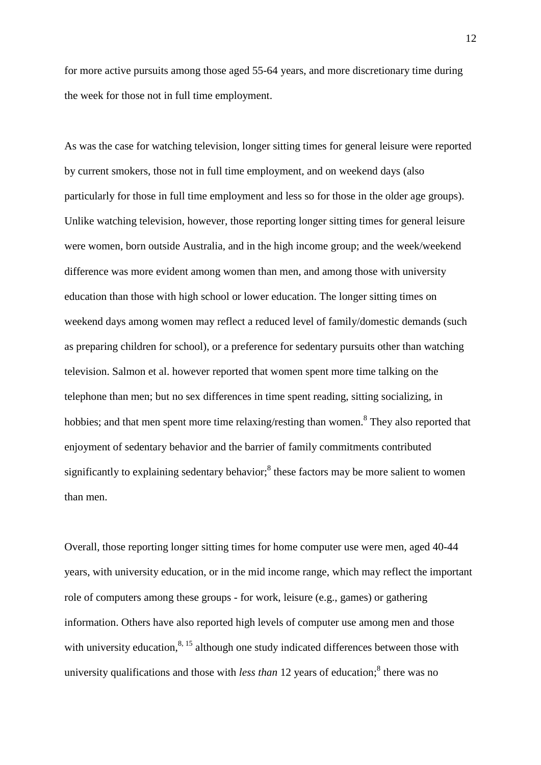for more active pursuits among those aged 55-64 years, and more discretionary time during the week for those not in full time employment.

As was the case for watching television, longer sitting times for general leisure were reported by current smokers, those not in full time employment, and on weekend days (also particularly for those in full time employment and less so for those in the older age groups). Unlike watching television, however, those reporting longer sitting times for general leisure were women, born outside Australia, and in the high income group; and the week/weekend difference was more evident among women than men, and among those with university education than those with high school or lower education. The longer sitting times on weekend days among women may reflect a reduced level of family/domestic demands (such as preparing children for school), or a preference for sedentary pursuits other than watching television. Salmon et al. however reported that women spent more time talking on the telephone than men; but no sex differences in time spent reading, sitting socializing, in hobbies; and that men spent more time relaxing/resting than women.<sup>8</sup> They also reported that enjoyment of sedentary behavior and the barrier of family commitments contributed significantly to explaining sedentary behavior;<sup>8</sup> these factors may be more salient to women than men.

Overall, those reporting longer sitting times for home computer use were men, aged 40-44 years, with university education, or in the mid income range, which may reflect the important role of computers among these groups - for work, leisure (e.g., games) or gathering information. Others have also reported high levels of computer use among men and those with university education,  $8,15$  although one study indicated differences between those with university qualifications and those with *less than* 12 years of education;<sup>8</sup> there was no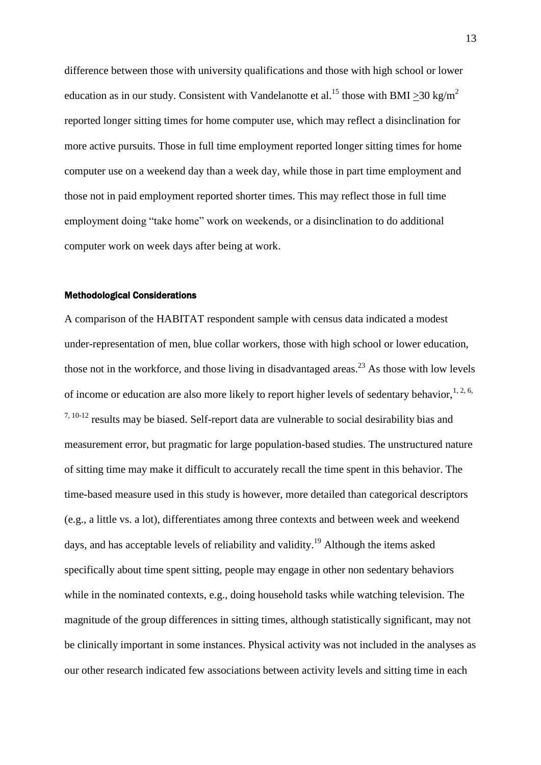difference between those with university qualifications and those with high school or lower education as in our study. Consistent with Vandelanotte et al.<sup>15</sup> those with BMI > 30 kg/m<sup>2</sup> reported longer sitting times for home computer use, which may reflect a disinclination for more active pursuits. Those in full time employment reported longer sitting times for home computer use on a weekend day than a week day, while those in part time employment and those not in paid employment reported shorter times. This may reflect those in full time employment doing "take home" work on weekends, or a disinclination to do additional computer work on week days after being at work.

#### Methodological Considerations

A comparison of the HABITAT respondent sample with census data indicated a modest under-representation of men, blue collar workers, those with high school or lower education, those not in the workforce, and those living in disadvantaged areas.<sup>23</sup> As those with low levels of income or education are also more likely to report higher levels of sedentary behavior,  $1, 2, 6$ ,  $7,10-12$  results may be biased. Self-report data are vulnerable to social desirability bias and measurement error, but pragmatic for large population-based studies. The unstructured nature of sitting time may make it difficult to accurately recall the time spent in this behavior. The time-based measure used in this study is however, more detailed than categorical descriptors (e.g., a little vs. a lot), differentiates among three contexts and between week and weekend days, and has acceptable levels of reliability and validity.<sup>19</sup> Although the items asked specifically about time spent sitting, people may engage in other non sedentary behaviors while in the nominated contexts, e.g., doing household tasks while watching television. The magnitude of the group differences in sitting times, although statistically significant, may not be clinically important in some instances. Physical activity was not included in the analyses as our other research indicated few associations between activity levels and sitting time in each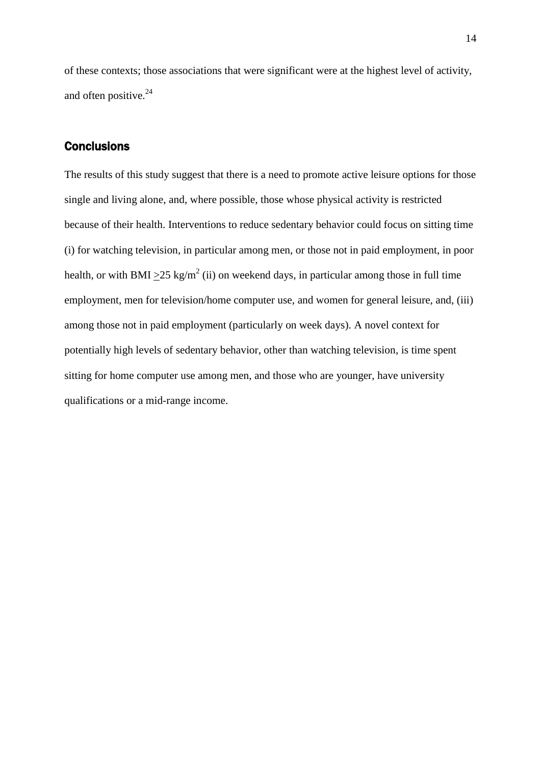of these contexts; those associations that were significant were at the highest level of activity, and often positive.<sup>24</sup>

# **Conclusions**

The results of this study suggest that there is a need to promote active leisure options for those single and living alone, and, where possible, those whose physical activity is restricted because of their health. Interventions to reduce sedentary behavior could focus on sitting time (i) for watching television, in particular among men, or those not in paid employment, in poor health, or with BMI  $\geq$ 25 kg/m<sup>2</sup> (ii) on weekend days, in particular among those in full time employment, men for television/home computer use, and women for general leisure, and, (iii) among those not in paid employment (particularly on week days). A novel context for potentially high levels of sedentary behavior, other than watching television, is time spent sitting for home computer use among men, and those who are younger, have university qualifications or a mid-range income.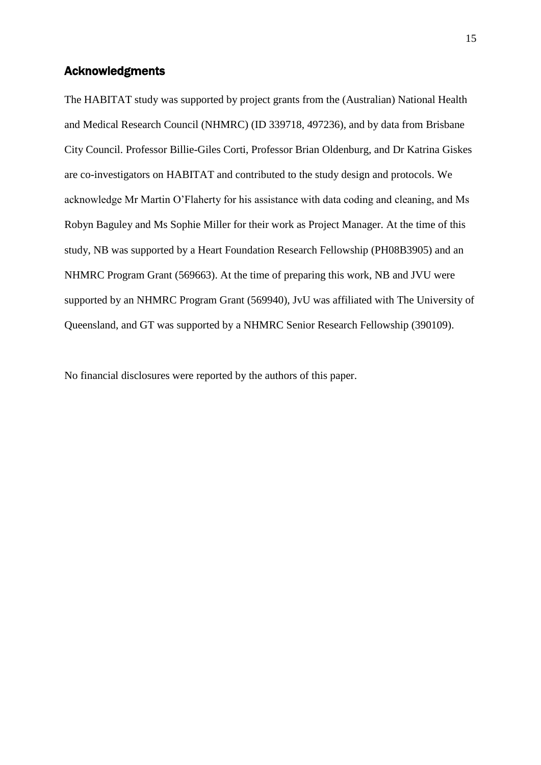# Acknowledgments

The HABITAT study was supported by project grants from the (Australian) National Health and Medical Research Council (NHMRC) (ID 339718, 497236), and by data from Brisbane City Council. Professor Billie-Giles Corti, Professor Brian Oldenburg, and Dr Katrina Giskes are co-investigators on HABITAT and contributed to the study design and protocols. We acknowledge Mr Martin O'Flaherty for his assistance with data coding and cleaning, and Ms Robyn Baguley and Ms Sophie Miller for their work as Project Manager. At the time of this study, NB was supported by a Heart Foundation Research Fellowship (PH08B3905) and an NHMRC Program Grant (569663). At the time of preparing this work, NB and JVU were supported by an NHMRC Program Grant (569940), JvU was affiliated with The University of Queensland, and GT was supported by a NHMRC Senior Research Fellowship (390109).

No financial disclosures were reported by the authors of this paper.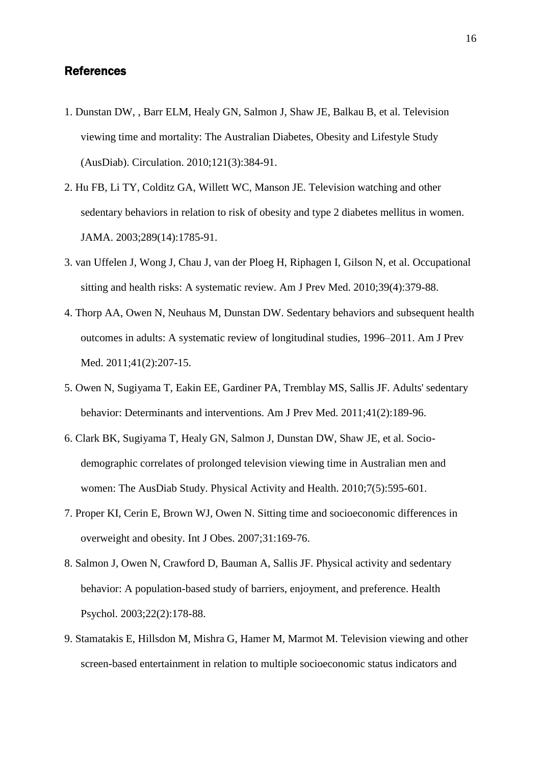# References

- 1. Dunstan DW, , Barr ELM, Healy GN, Salmon J, Shaw JE, Balkau B, et al. Television viewing time and mortality: The Australian Diabetes, Obesity and Lifestyle Study (AusDiab). Circulation. 2010;121(3):384-91.
- 2. Hu FB, Li TY, Colditz GA, Willett WC, Manson JE. Television watching and other sedentary behaviors in relation to risk of obesity and type 2 diabetes mellitus in women. JAMA. 2003;289(14):1785-91.
- 3. van Uffelen J, Wong J, Chau J, van der Ploeg H, Riphagen I, Gilson N, et al. Occupational sitting and health risks: A systematic review. Am J Prev Med. 2010;39(4):379-88.
- 4. Thorp AA, Owen N, Neuhaus M, Dunstan DW. Sedentary behaviors and subsequent health outcomes in adults: A systematic review of longitudinal studies, 1996–2011. Am J Prev Med. 2011;41(2):207-15.
- 5. Owen N, Sugiyama T, Eakin EE, Gardiner PA, Tremblay MS, Sallis JF. Adults' sedentary behavior: Determinants and interventions. Am J Prev Med. 2011;41(2):189-96.
- 6. Clark BK, Sugiyama T, Healy GN, Salmon J, Dunstan DW, Shaw JE, et al. Sociodemographic correlates of prolonged television viewing time in Australian men and women: The AusDiab Study. Physical Activity and Health. 2010;7(5):595-601.
- 7. Proper KI, Cerin E, Brown WJ, Owen N. Sitting time and socioeconomic differences in overweight and obesity. Int J Obes. 2007;31:169-76.
- 8. Salmon J, Owen N, Crawford D, Bauman A, Sallis JF. Physical activity and sedentary behavior: A population-based study of barriers, enjoyment, and preference. Health Psychol. 2003;22(2):178-88.
- 9. Stamatakis E, Hillsdon M, Mishra G, Hamer M, Marmot M. Television viewing and other screen-based entertainment in relation to multiple socioeconomic status indicators and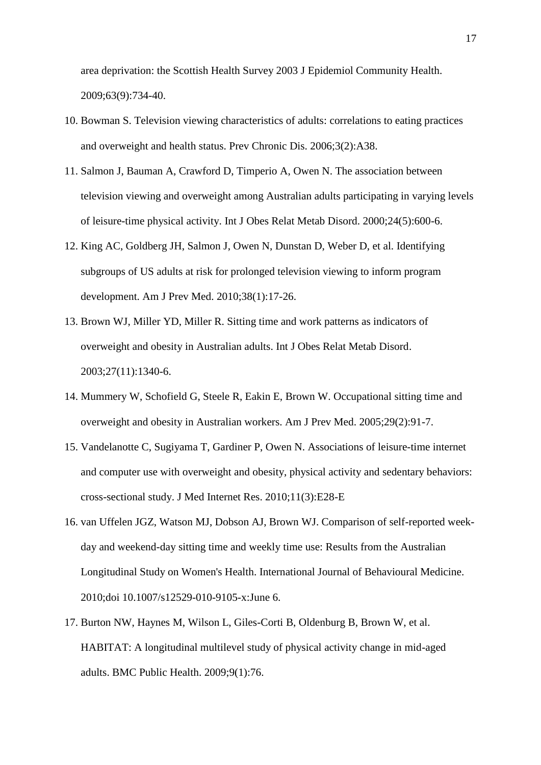area deprivation: the Scottish Health Survey 2003 J Epidemiol Community Health. 2009;63(9):734-40.

- 10. Bowman S. Television viewing characteristics of adults: correlations to eating practices and overweight and health status. Prev Chronic Dis. 2006;3(2):A38.
- 11. Salmon J, Bauman A, Crawford D, Timperio A, Owen N. The association between television viewing and overweight among Australian adults participating in varying levels of leisure-time physical activity. Int J Obes Relat Metab Disord. 2000;24(5):600-6.
- 12. King AC, Goldberg JH, Salmon J, Owen N, Dunstan D, Weber D, et al. Identifying subgroups of US adults at risk for prolonged television viewing to inform program development. Am J Prev Med. 2010;38(1):17-26.
- 13. Brown WJ, Miller YD, Miller R. Sitting time and work patterns as indicators of overweight and obesity in Australian adults. Int J Obes Relat Metab Disord. 2003;27(11):1340-6.
- 14. Mummery W, Schofield G, Steele R, Eakin E, Brown W. Occupational sitting time and overweight and obesity in Australian workers. Am J Prev Med. 2005;29(2):91-7.
- 15. Vandelanotte C, Sugiyama T, Gardiner P, Owen N. Associations of leisure-time internet and computer use with overweight and obesity, physical activity and sedentary behaviors: cross-sectional study. J Med Internet Res. 2010;11(3):E28-E
- 16. van Uffelen JGZ, Watson MJ, Dobson AJ, Brown WJ. Comparison of self-reported weekday and weekend-day sitting time and weekly time use: Results from the Australian Longitudinal Study on Women's Health. International Journal of Behavioural Medicine. 2010;doi 10.1007/s12529-010-9105-x:June 6.
- 17. Burton NW, Haynes M, Wilson L, Giles-Corti B, Oldenburg B, Brown W, et al. HABITAT: A longitudinal multilevel study of physical activity change in mid-aged adults. BMC Public Health. 2009;9(1):76.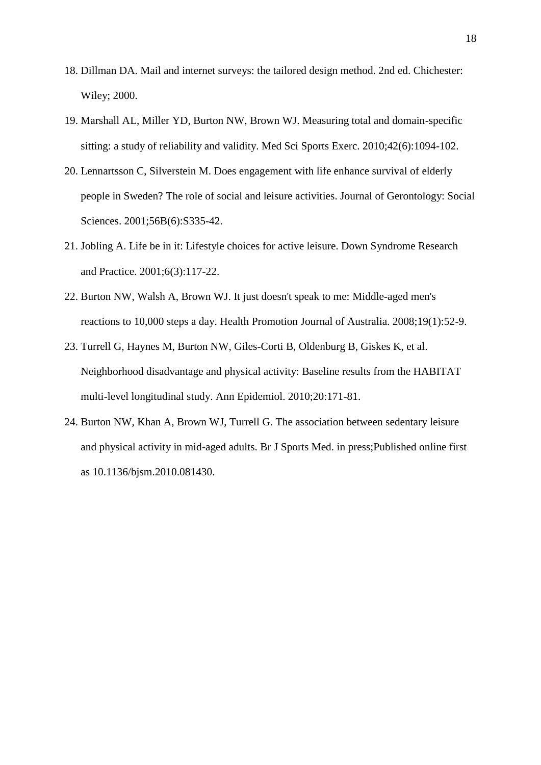- 18. Dillman DA. Mail and internet surveys: the tailored design method. 2nd ed. Chichester: Wiley; 2000.
- 19. Marshall AL, Miller YD, Burton NW, Brown WJ. Measuring total and domain-specific sitting: a study of reliability and validity. Med Sci Sports Exerc. 2010;42(6):1094-102.
- 20. Lennartsson C, Silverstein M. Does engagement with life enhance survival of elderly people in Sweden? The role of social and leisure activities. Journal of Gerontology: Social Sciences. 2001;56B(6):S335-42.
- 21. Jobling A. Life be in it: Lifestyle choices for active leisure. Down Syndrome Research and Practice. 2001;6(3):117-22.
- 22. Burton NW, Walsh A, Brown WJ. It just doesn't speak to me: Middle-aged men's reactions to 10,000 steps a day. Health Promotion Journal of Australia. 2008;19(1):52-9.
- 23. Turrell G, Haynes M, Burton NW, Giles-Corti B, Oldenburg B, Giskes K, et al. Neighborhood disadvantage and physical activity: Baseline results from the HABITAT multi-level longitudinal study. Ann Epidemiol. 2010;20:171-81.
- 24. Burton NW, Khan A, Brown WJ, Turrell G. The association between sedentary leisure and physical activity in mid-aged adults. Br J Sports Med. in press;Published online first as 10.1136/bjsm.2010.081430.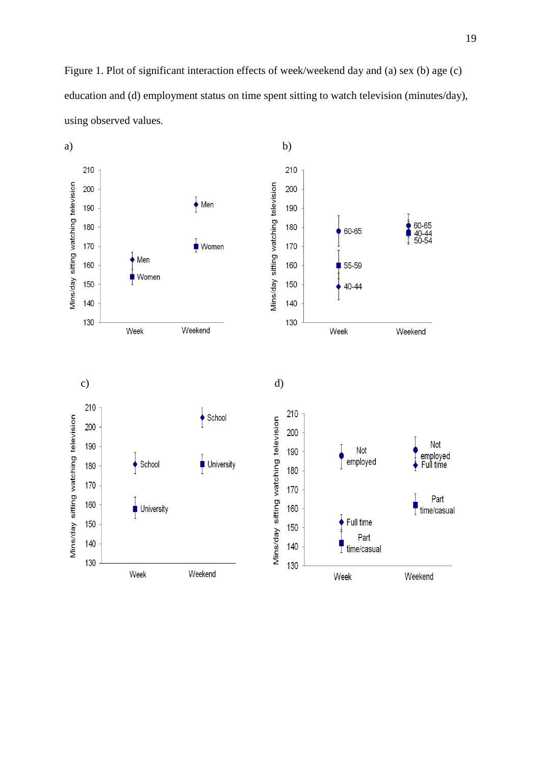Figure 1. Plot of significant interaction effects of week/weekend day and (a) sex (b) age (c) education and (d) employment status on time spent sitting to watch television (minutes/day), using observed values.

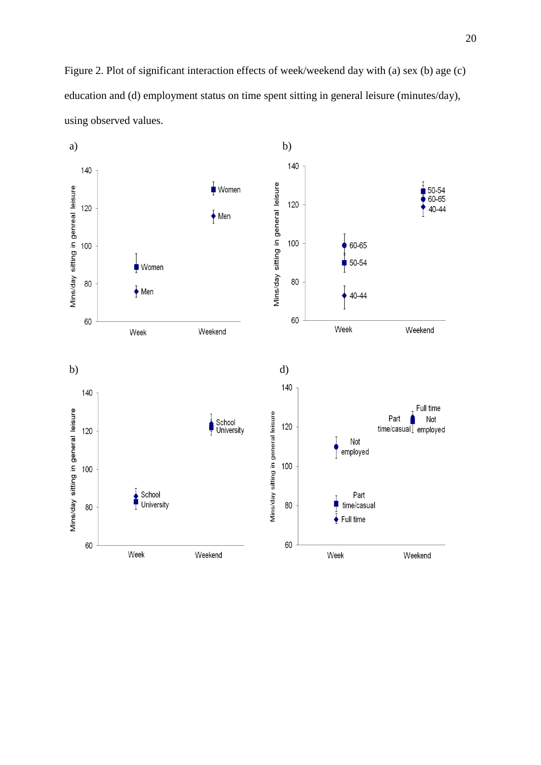Figure 2. Plot of significant interaction effects of week/weekend day with (a) sex (b) age (c) education and (d) employment status on time spent sitting in general leisure (minutes/day), using observed values.

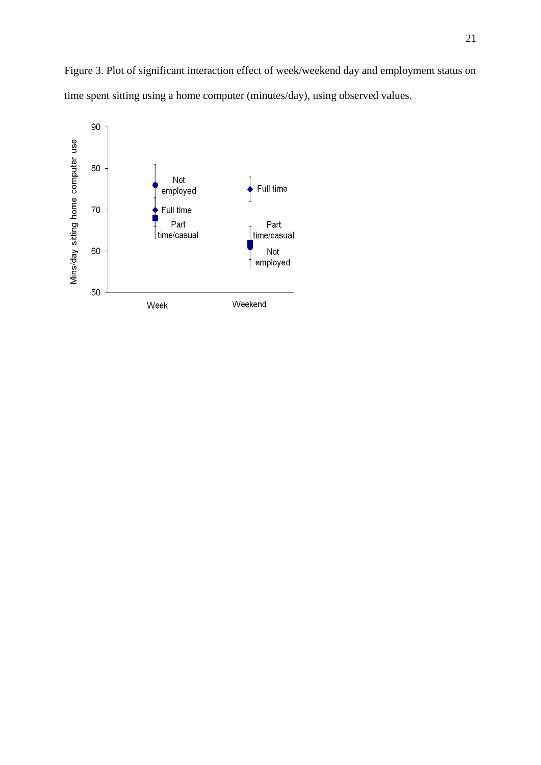Figure 3. Plot of significant interaction effect of week/weekend day and employment status on time spent sitting using a home computer (minutes/day), using observed values.

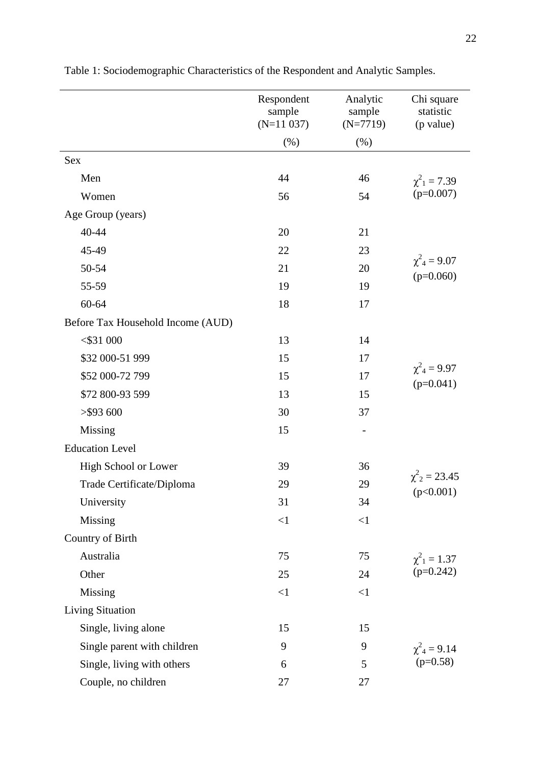|                                   | Respondent<br>sample | Analytic<br>sample | Chi square<br>statistic            |  |
|-----------------------------------|----------------------|--------------------|------------------------------------|--|
|                                   | $(N=11 037)$         | $(N=7719)$         | (p value)                          |  |
|                                   | (%)                  | (% )               |                                    |  |
| Sex                               |                      |                    |                                    |  |
| Men                               | 44                   | 46                 | $\chi^2_{1} = 7.39$                |  |
| Women                             | 56                   | 54                 | $(p=0.007)$                        |  |
| Age Group (years)                 |                      |                    |                                    |  |
| 40-44                             | 20                   | 21                 |                                    |  |
| 45-49                             | 22                   | 23                 |                                    |  |
| 50-54                             | 21                   | 20                 | $\chi^2_{4} = 9.07$<br>$(p=0.060)$ |  |
| 55-59                             | 19                   | 19                 |                                    |  |
| 60-64                             | 18                   | 17                 |                                    |  |
| Before Tax Household Income (AUD) |                      |                    |                                    |  |
| $<$ \$31 000                      | 13                   | 14                 |                                    |  |
| \$32 000-51 999                   | 15                   | 17                 |                                    |  |
| \$52 000-72 799                   | 15                   | 17                 | $\chi^2_{4} = 9.97$<br>$(p=0.041)$ |  |
| \$72 800-93 599                   | 13                   | 15                 |                                    |  |
| $>$ \$93 600                      | 30                   | 37                 |                                    |  |
| Missing                           | 15                   | $\overline{a}$     |                                    |  |
| <b>Education Level</b>            |                      |                    |                                    |  |
| High School or Lower              | 39                   | 36                 |                                    |  |
| Trade Certificate/Diploma         | 29                   | 29                 | $\chi^2_{2} = 23.45$<br>(p<0.001)  |  |
| University                        | 31                   | 34                 |                                    |  |
| Missing                           | $\leq$ 1             | $\leq$ 1           |                                    |  |
| Country of Birth                  |                      |                    |                                    |  |
| Australia                         | 75                   | 75                 | $\chi^2_{1} = 1.37$                |  |
| Other                             | 25                   | 24                 | $(p=0.242)$                        |  |
| Missing                           | $\leq$ 1             | $\leq$ 1           |                                    |  |
| <b>Living Situation</b>           |                      |                    |                                    |  |
| Single, living alone              | 15                   | 15                 |                                    |  |
| Single parent with children       | 9                    | 9                  | $\chi^2_{4} = 9.14$                |  |
| Single, living with others        | 6                    | 5                  | $(p=0.58)$                         |  |
| Couple, no children               | 27                   | 27                 |                                    |  |

Table 1: Sociodemographic Characteristics of the Respondent and Analytic Samples.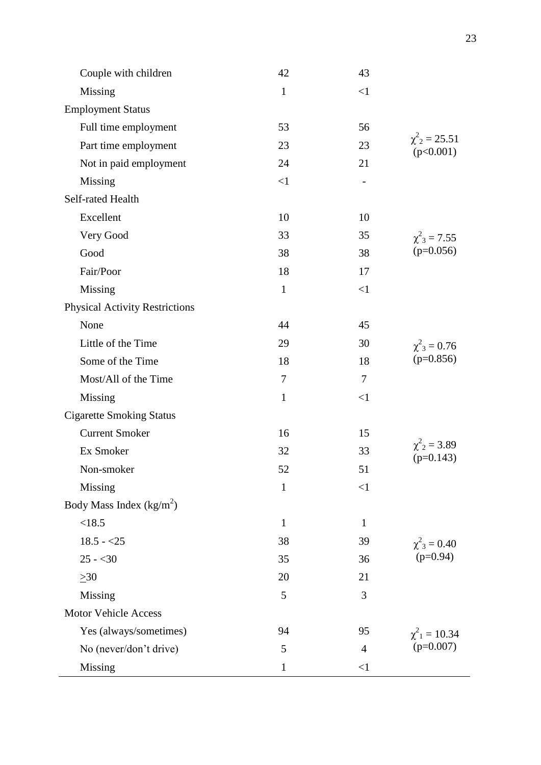| Couple with children                  | 42           | 43             |                                             |
|---------------------------------------|--------------|----------------|---------------------------------------------|
| Missing                               | $\mathbf{1}$ | $\leq$ 1       |                                             |
| <b>Employment Status</b>              |              |                |                                             |
| Full time employment                  | 53           | 56             |                                             |
| Part time employment                  | 23           | 23             | $\chi^2$ <sub>2</sub> = 25.51<br>(p<0.001)  |
| Not in paid employment                | 24           | 21             |                                             |
| Missing                               | $\leq$ 1     |                |                                             |
| Self-rated Health                     |              |                |                                             |
| Excellent                             | 10           | 10             |                                             |
| Very Good                             | 33           | 35             | $\chi^2_{3} = 7.55$                         |
| Good                                  | 38           | 38             | $(p=0.056)$                                 |
| Fair/Poor                             | 18           | 17             |                                             |
| Missing                               | $\mathbf{1}$ | $\leq$ 1       |                                             |
| <b>Physical Activity Restrictions</b> |              |                |                                             |
| None                                  | 44           | 45             |                                             |
| Little of the Time                    | 29           | 30             | $\chi^2_{3} = 0.76$                         |
| Some of the Time                      | 18           | 18             | $(p=0.856)$                                 |
| Most/All of the Time                  | $\tau$       | $\tau$         |                                             |
| Missing                               | $\mathbf{1}$ | $\leq$ 1       |                                             |
| <b>Cigarette Smoking Status</b>       |              |                |                                             |
| <b>Current Smoker</b>                 | 16           | 15             |                                             |
| Ex Smoker                             | 32           | 33             | $\chi^2$ <sub>2</sub> = 3.89<br>$(p=0.143)$ |
| Non-smoker                            | 52           | 51             |                                             |
| Missing                               | $\mathbf{1}$ | $\leq$ 1       |                                             |
| Body Mass Index $(kg/m2)$             |              |                |                                             |
| <18.5                                 | $\mathbf{1}$ | $\mathbf{1}$   | $\chi^2_{3} = 0.40$<br>$(p=0.94)$           |
| $18.5 - 25$                           | 38           | 39             |                                             |
| $25 - 30$                             | 35           | 36             |                                             |
| $\geq 30$                             | 20           | 21             |                                             |
| Missing                               | 5            | 3              |                                             |
| <b>Motor Vehicle Access</b>           |              |                |                                             |
| Yes (always/sometimes)                | 94           | 95             | $\chi^2_{1} = 10.34$                        |
| No (never/don't drive)                | 5            | $\overline{4}$ | $(p=0.007)$                                 |
| Missing                               | $\mathbf{1}$ | $\leq$ 1       |                                             |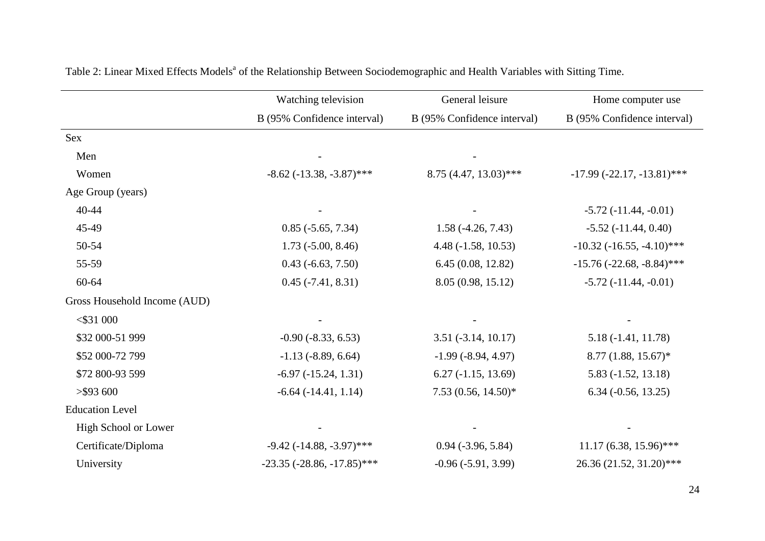|                              | Watching television               | General leisure             | Home computer use              |
|------------------------------|-----------------------------------|-----------------------------|--------------------------------|
|                              | B (95% Confidence interval)       | B (95% Confidence interval) | B (95% Confidence interval)    |
| <b>Sex</b>                   |                                   |                             |                                |
| Men                          |                                   |                             |                                |
| Women                        | $-8.62$ ( $-13.38$ , $-3.87$ )*** | $8.75(4.47, 13.03)$ ***     | $-17.99 (-22.17, -13.81)$ ***  |
| Age Group (years)            |                                   |                             |                                |
| $40 - 44$                    |                                   |                             | $-5.72(-11.44, -0.01)$         |
| 45-49                        | $0.85$ ( $-5.65$ , 7.34)          | $1.58(-4.26, 7.43)$         | $-5.52$ $(-11.44, 0.40)$       |
| 50-54                        | $1.73$ ( $-5.00$ , $8.46$ )       | $4.48(-1.58, 10.53)$        | $-10.32$ $(-16.55, -4.10)$ *** |
| 55-59                        | $0.43$ ( $-6.63$ , $7.50$ )       | 6.45(0.08, 12.82)           | $-15.76 (-22.68, -8.84)$ ***   |
| 60-64                        | $0.45 (-7.41, 8.31)$              | 8.05 (0.98, 15.12)          | $-5.72(-11.44,-0.01)$          |
| Gross Household Income (AUD) |                                   |                             |                                |
| $<$ \$31 000                 |                                   |                             |                                |
| \$32 000-51 999              | $-0.90(-8.33, 6.53)$              | $3.51(-3.14, 10.17)$        | $5.18(-1.41, 11.78)$           |
| \$52 000-72 799              | $-1.13$ $(-8.89, 6.64)$           | $-1.99(-8.94, 4.97)$        | 8.77 (1.88, 15.67)*            |
| \$72 800-93 599              | $-6.97$ $(-15.24, 1.31)$          | $6.27(-1.15, 13.69)$        | $5.83(-1.52, 13.18)$           |
| $>$ \$93 600                 | $-6.64$ $(-14.41, 1.14)$          | 7.53 (0.56, 14.50)*         | $6.34 (-0.56, 13.25)$          |
| <b>Education Level</b>       |                                   |                             |                                |
| High School or Lower         |                                   |                             |                                |
| Certificate/Diploma          | $-9.42$ ( $-14.88$ , $-3.97$ )*** | $0.94 (-3.96, 5.84)$        | $11.17(6.38, 15.96)$ ***       |
| University                   | $-23.35$ $(-28.86, -17.85)$ ***   | $-0.96(-5.91, 3.99)$        | 26.36 (21.52, 31.20)***        |

Table 2: Linear Mixed Effects Models<sup>a</sup> of the Relationship Between Sociodemographic and Health Variables with Sitting Time.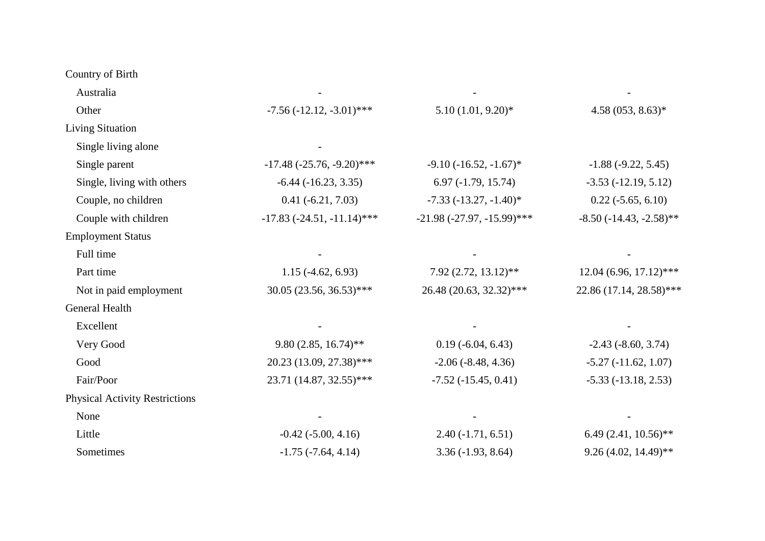Country of Birth

| Australia                             |                                    |                               |                                  |
|---------------------------------------|------------------------------------|-------------------------------|----------------------------------|
| Other                                 | $-7.56 (-12.12, -3.01)$ ***        | $5.10(1.01, 9.20)$ *          | $4.58(053, 8.63)*$               |
| <b>Living Situation</b>               |                                    |                               |                                  |
| Single living alone                   |                                    |                               |                                  |
| Single parent                         | $-17.48$ ( $-25.76$ , $-9.20$ )*** | $-9.10$ $(-16.52, -1.67)^*$   | $-1.88(-9.22, 5.45)$             |
| Single, living with others            | $-6.44$ $(-16.23, 3.35)$           | $6.97(-1.79, 15.74)$          | $-3.53(-12.19, 5.12)$            |
| Couple, no children                   | $0.41 (-6.21, 7.03)$               | $-7.33(-13.27,-1.40)^*$       | $0.22$ ( $-5.65$ , 6.10)         |
| Couple with children                  | $-17.83$ $(-24.51, -11.14)$ ***    | $-21.98 (-27.97, -15.99)$ *** | $-8.50$ ( $-14.43$ , $-2.58$ )** |
| <b>Employment Status</b>              |                                    |                               |                                  |
| Full time                             |                                    |                               |                                  |
| Part time                             | $1.15(-4.62, 6.93)$                | 7.92 (2.72, 13.12)**          | $12.04(6.96, 17.12)$ ***         |
| Not in paid employment                | $30.05$ (23.56, 36.53)***          | 26.48 (20.63, 32.32)***       | 22.86 (17.14, 28.58)***          |
| General Health                        |                                    |                               |                                  |
| Excellent                             |                                    |                               |                                  |
| Very Good                             | $9.80(2.85, 16.74)$ **             | $0.19(-6.04, 6.43)$           | $-2.43(-8.60, 3.74)$             |
| Good                                  | 20.23 (13.09, 27.38)***            | $-2.06$ $(-8.48, 4.36)$       | $-5.27(-11.62, 1.07)$            |
| Fair/Poor                             | 23.71 (14.87, 32.55)***            | $-7.52(-15.45, 0.41)$         | $-5.33(-13.18, 2.53)$            |
| <b>Physical Activity Restrictions</b> |                                    |                               |                                  |
| None                                  |                                    |                               |                                  |
| Little                                | $-0.42$ $(-5.00, 4.16)$            | $2.40(-1.71, 6.51)$           | $6.49(2.41, 10.56)$ **           |
| Sometimes                             | $-1.75$ $(-7.64, 4.14)$            | $3.36(-1.93, 8.64)$           | $9.26(4.02, 14.49)$ **           |
|                                       |                                    |                               |                                  |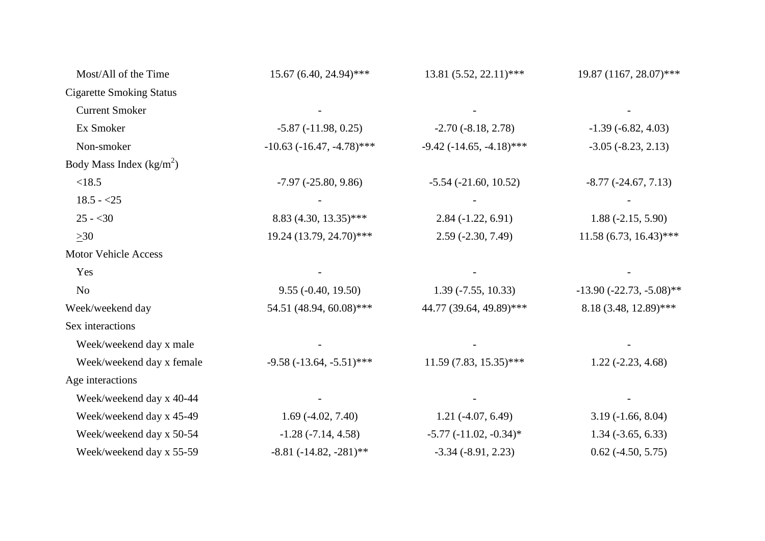| Most/All of the Time            | 15.67 (6.40, 24.94)***         | $13.81(5.52, 22.11)$ ***          | 19.87 (1167, 28.07)***      |
|---------------------------------|--------------------------------|-----------------------------------|-----------------------------|
| <b>Cigarette Smoking Status</b> |                                |                                   |                             |
| <b>Current Smoker</b>           |                                |                                   |                             |
| Ex Smoker                       | $-5.87(-11.98, 0.25)$          | $-2.70(-8.18, 2.78)$              | $-1.39(-6.82, 4.03)$        |
| Non-smoker                      | $-10.63$ $(-16.47, -4.78)$ *** | $-9.42$ ( $-14.65$ , $-4.18$ )*** | $-3.05$ $(-8.23, 2.13)$     |
| Body Mass Index $(kg/m2)$       |                                |                                   |                             |
| < 18.5                          | $-7.97 (-25.80, 9.86)$         | $-5.54$ $(-21.60, 10.52)$         | $-8.77$ $(-24.67, 7.13)$    |
| $18.5 - 25$                     |                                |                                   |                             |
| $25 - 30$                       | 8.83 (4.30, 13.35)***          | $2.84(-1.22, 6.91)$               | $1.88(-2.15, 5.90)$         |
| $>30$                           | 19.24 (13.79, 24.70)***        | $2.59$ (-2.30, 7.49)              | $11.58(6.73, 16.43)$ ***    |
| <b>Motor Vehicle Access</b>     |                                |                                   |                             |
| Yes                             |                                |                                   |                             |
| N <sub>o</sub>                  | $9.55 (-0.40, 19.50)$          | $1.39(-7.55, 10.33)$              | $-13.90 (-22.73, -5.08)$ ** |
| Week/weekend day                | 54.51 (48.94, 60.08)***        | 44.77 (39.64, 49.89)***           | 8.18 (3.48, 12.89)***       |
| Sex interactions                |                                |                                   |                             |
| Week/weekend day x male         |                                |                                   |                             |
| Week/weekend day x female       | $-9.58$ $(-13.64, -5.51)$ ***  | $11.59(7.83, 15.35)$ ***          | $1.22(-2.23, 4.68)$         |
| Age interactions                |                                |                                   |                             |
| Week/weekend day x 40-44        |                                |                                   |                             |
| Week/weekend day x 45-49        | $1.69(-4.02, 7.40)$            | $1.21(-4.07, 6.49)$               | $3.19(-1.66, 8.04)$         |
| Week/weekend day x 50-54        | $-1.28(-7.14, 4.58)$           | $-5.77$ $(-11.02, -0.34)^*$       | $1.34 (-3.65, 6.33)$        |
| Week/weekend day x 55-59        | $-8.81 (-14.82, -281)$ **      | $-3.34$ $(-8.91, 2.23)$           | $0.62$ (-4.50, 5.75)        |